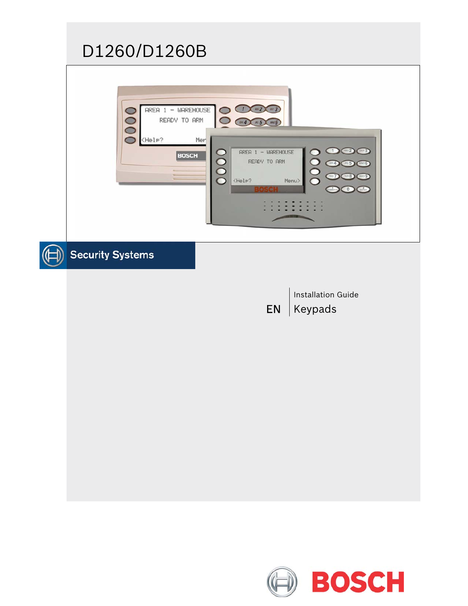# D1260/D1260B

| $AREA$ 1 - WAREHOUSE<br>w3<br>READY TO ARM<br>m 5<br><help?<br>Mer<br/><math>ABC</math> 2<br/>1<br/>(0.013)<br/><math>AREA 1 - WAREHOUSE</math><br/><b>BOSCH</b><br/>READY TO ARM<br/>Г<br/><b>06</b><br/><math>\rm\breve{O}</math><br/><help?<br>Menu&gt;</help?<br></help?<br> |
|----------------------------------------------------------------------------------------------------------------------------------------------------------------------------------------------------------------------------------------------------------------------------------|
| <b>Security Systems</b>                                                                                                                                                                                                                                                          |
| <b>Installation Guide</b><br>Keypads<br><b>EN</b>                                                                                                                                                                                                                                |

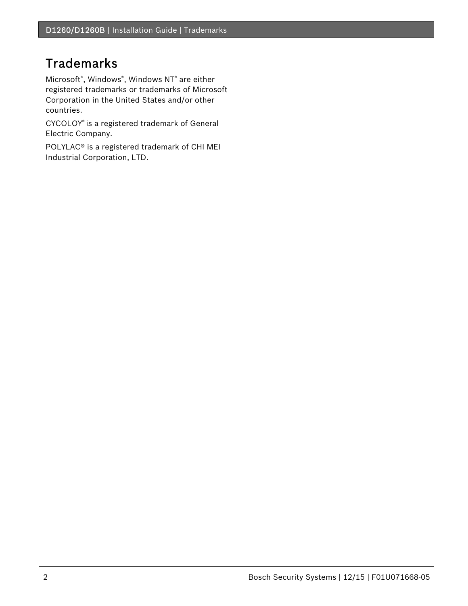# Trademarks

Microsoft® , Windows® , Windows NT® are either registered trademarks or trademarks of Microsoft Corporation in the United States and/or other countries.

CYCOLOY® is a registered trademark of General Electric Company.

POLYLAC® is a registered trademark of CHI MEI Industrial Corporation, LTD.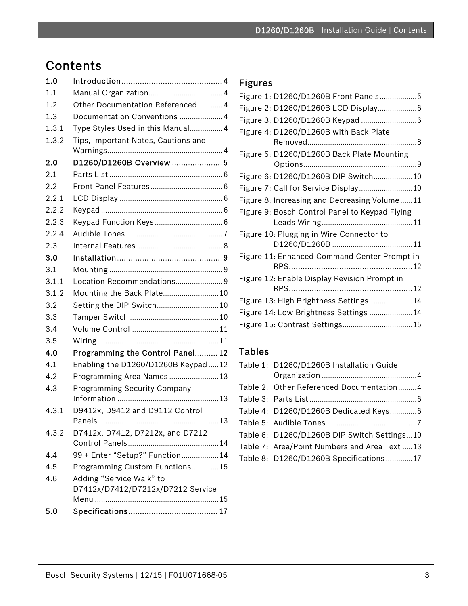# Contents

| 1.0   |                                      |  |
|-------|--------------------------------------|--|
| 1.1   |                                      |  |
| 1.2   | Other Documentation Referenced4      |  |
| 1.3   | Documentation Conventions 4          |  |
| 1.3.1 | Type Styles Used in this Manual 4    |  |
| 1.3.2 | Tips, Important Notes, Cautions and  |  |
|       |                                      |  |
| 2.0   | D1260/D1260B Overview 5              |  |
| 2.1   |                                      |  |
| 2.2   |                                      |  |
| 2.2.1 |                                      |  |
| 2.2.2 |                                      |  |
| 2.2.3 |                                      |  |
| 2.2.4 |                                      |  |
| 2.3   |                                      |  |
| 3.0   |                                      |  |
| 3.1   |                                      |  |
| 3.1.1 | Location Recommendations 9           |  |
| 3.1.2 | Mounting the Back Plate 10           |  |
| 3.2   | Setting the DIP Switch 10            |  |
| 3.3   |                                      |  |
| 3.4   |                                      |  |
| 3.5   |                                      |  |
| 4.0   | Programming the Control Panel 12     |  |
| 4.1   | Enabling the D1260/D1260B Keypad  12 |  |
| 4.2   | Programming Area Names  13           |  |
| 4.3   | <b>Programming Security Company</b>  |  |
|       |                                      |  |
| 4.3.1 | D9412x, D9412 and D9112 Control      |  |
|       |                                      |  |
| 4.3.2 | D7412x, D7412, D7212x, and D7212     |  |
|       |                                      |  |
| 4.4   | 99 + Enter "Setup?" Function 14      |  |
| 4.5   | Programming Custom Functions15       |  |
| 4.6   | Adding "Service Walk" to             |  |
|       | D7412x/D7412/D7212x/D7212 Service    |  |
| 5.0   |                                      |  |
|       |                                      |  |

# Figures

| Figure 1: D1260/D1260B Front Panels5           |  |
|------------------------------------------------|--|
| Figure 2: D1260/D1260B LCD Display6            |  |
|                                                |  |
| Figure 4: D1260/D1260B with Back Plate         |  |
|                                                |  |
| Figure 5: D1260/D1260B Back Plate Mounting     |  |
|                                                |  |
| Figure 6: D1260/D1260B DIP Switch10            |  |
| Figure 7: Call for Service Display 10          |  |
| Figure 8: Increasing and Decreasing Volume11   |  |
| Figure 9: Bosch Control Panel to Keypad Flying |  |
|                                                |  |
| Figure 10: Plugging in Wire Connector to       |  |
|                                                |  |
| Figure 11: Enhanced Command Center Prompt in   |  |
|                                                |  |
| Figure 12: Enable Display Revision Prompt in   |  |
|                                                |  |
| Figure 13: High Brightness Settings14          |  |
| Figure 14: Low Brightness Settings 14          |  |
| Figure 15: Contrast Settings15                 |  |
|                                                |  |

# Tables

| Table 1: D1260/D1260B Installation Guide     |
|----------------------------------------------|
|                                              |
| Table 2: Other Referenced Documentation4     |
|                                              |
| Table 4: D1260/D1260B Dedicated Keys6        |
|                                              |
| Table 6: D1260/D1260B DIP Switch Settings10  |
| Table 7: Area/Point Numbers and Area Text 13 |
| Table 8: D1260/D1260B Specifications17       |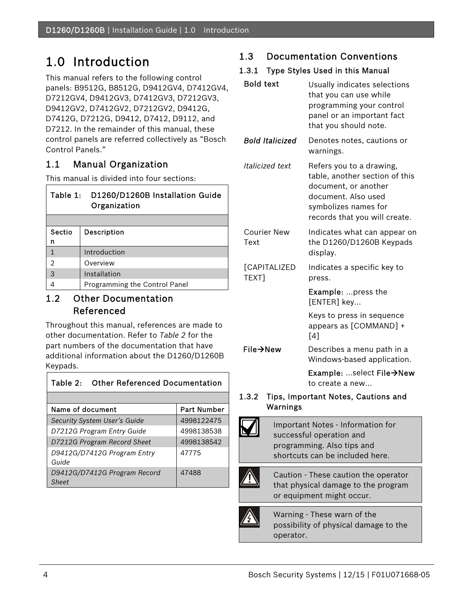# 1.0 Introduction

This manual refers to the following control panels: B9512G, B8512G, D9412GV4, D7412GV4, D7212GV4, D9412GV3, D7412GV3, D7212GV3, D9412GV2, D7412GV2, D7212GV2, D9412G, D7412G, D7212G, D9412, D7412, D9112, and D7212. In the remainder of this manual, these control panels are referred collectively as "Bosch Control Panels."

# 1.1 Manual Organization

This manual is divided into four sections:

| Table 1:       | D1260/D1260B Installation Guide<br>Organization |
|----------------|-------------------------------------------------|
|                |                                                 |
| Sectio         | Description                                     |
| n              |                                                 |
|                | Introduction                                    |
| $\overline{2}$ | Overview                                        |
| 3              | Installation                                    |
|                | Programming the Control Panel                   |

### 1.2 Other Documentation Referenced

Throughout this manual, references are made to other documentation. Refer to *Table 2* for the part numbers of the documentation that have additional information about the D1260/D1260B Keypads.

| <b>Other Referenced Documentation</b><br>Table $2:$ |                    |  |
|-----------------------------------------------------|--------------------|--|
|                                                     |                    |  |
| Name of document                                    | <b>Part Number</b> |  |
| Security System User's Guide                        | 4998122475         |  |
| D7212G Program Entry Guide                          | 4998138538         |  |
| D7212G Program Record Sheet                         | 4998138542         |  |
| D9412G/D7412G Program Entry<br>Guide                | 47775              |  |
| D9412G/D7412G Program Record<br>Sheet               | 47488              |  |

## 1.3 Documentation Conventions

### 1.3.1 Type Styles Used in this Manual

| <b>Bold text</b>             | Usually indicates selections<br>that you can use while<br>programming your control<br>panel or an important fact<br>that you should note.                          |
|------------------------------|--------------------------------------------------------------------------------------------------------------------------------------------------------------------|
| <b>Bold Italicized</b>       | Denotes notes, cautions or<br>warnings.                                                                                                                            |
| Italicized text              | Refers you to a drawing,<br>table, another section of this<br>document, or another<br>document. Also used<br>symbolizes names for<br>records that you will create. |
| <b>Courier New</b><br>Text   | Indicates what can appear on<br>the D1260/D1260B Keypads<br>display.                                                                                               |
| <b>[CAPITALIZED</b><br>TEXT] | Indicates a specific key to<br>press.                                                                                                                              |
|                              | Example: press the<br>[ENTER] key                                                                                                                                  |
|                              | Keys to press in sequence<br>appears as [COMMAND] +<br>[4]                                                                                                         |
| File→New                     | Describes a menu path in a<br>Windows-based application.                                                                                                           |
|                              | Example: select File→New<br>to create a new                                                                                                                        |
| $\mathbf{0.3.2}$             | Tips, Important Notes, Cautions and                                                                                                                                |

#### 1.3.2 Tips, Important Notes, Cautions and Warnings

Important Notes - Information for successful operation and programming. Also tips and shortcuts can be included here. Caution - These caution the operator that physical damage to the program or equipment might occur.

Warning - These warn of the possibility of physical damage to the operator.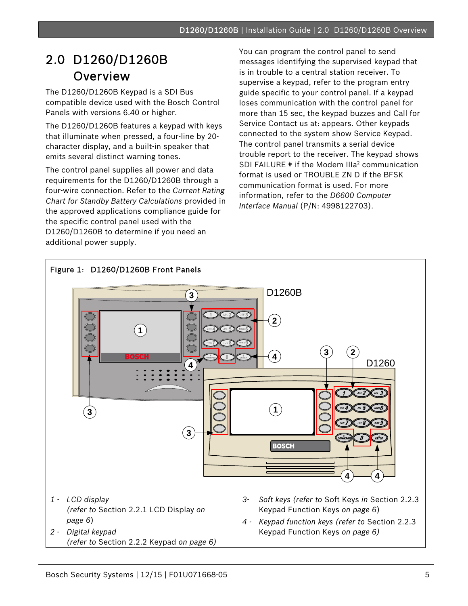# 2.0 D1260/D1260B Overview

.

The D1260/D1260B Keypad is a SDI Bus compatible device used with the Bosch Control Panels with versions 6.40 or higher.

The D1260/D1260B features a keypad with keys that illuminate when pressed, a four-line by 20 character display, and a built-in speaker that emits several distinct warning tones.

The control panel supplies all power and data requirements for the D1260/D1260B through a four-wire connection. Refer to the *Current Rating Chart for Standby Battery Calculations* provided in the approved applications compliance guide for the specific control panel used with the D1260/D1260B to determine if you need an additional power supply.

You can program the control panel to send messages identifying the supervised keypad that is in trouble to a central station receiver. To supervise a keypad, refer to the program entry guide specific to your control panel. If a keypad loses communication with the control panel for more than 15 sec, the keypad buzzes and Call for Service Contact us at: appears. Other keypads connected to the system show Service Keypad. The control panel transmits a serial device trouble report to the receiver. The keypad shows SDI FAILURE # if the Modem IIIa<sup>2</sup> communication format is used or TROUBLE ZN D if the BFSK communication format is used. For more information, refer to the *D6600 Computer Interface Manual* (P/N: 4998122703).

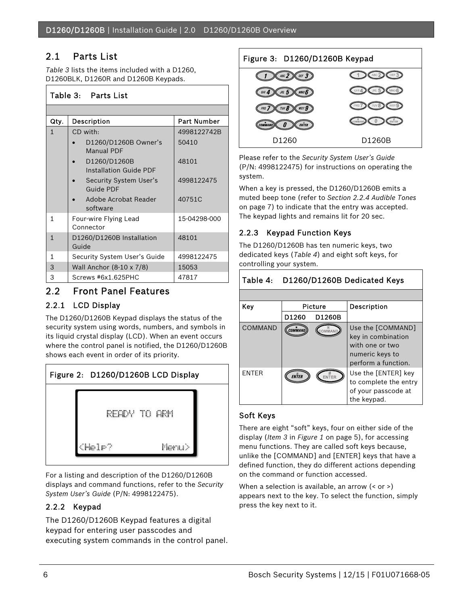## 2.1 Parts List

*Table 3* lists the items included with a D1260, D1260BLK, D1260R and D1260B Keypads.

#### Table 3: Parts List

| Qty.         | Description                                   | Part Number  |
|--------------|-----------------------------------------------|--------------|
| 1            | CD with:                                      | 4998122742B  |
|              | D1260/D1260B Owner's<br><b>Manual PDF</b>     | 50410        |
|              | D1260/D1260B<br><b>Installation Guide PDF</b> | 48101        |
|              | Security System User's<br><b>Guide PDF</b>    | 4998122475   |
|              | Adobe Acrobat Reader<br>software              | 40751C       |
| 1            | Four-wire Flying Lead<br>Connector            | 15-04298-000 |
| $\mathbf{1}$ | D1260/D1260B Installation<br>Guide            | 48101        |
| 1            | Security System User's Guide                  | 4998122475   |
| 3            | Wall Anchor (8-10 x 7/8)                      | 15053        |
| 3            | Screws #6x1.625PHC                            | 47817        |

### 2.2 Front Panel Features

#### 2.2.1 LCD Display

The D1260/D1260B Keypad displays the status of the security system using words, numbers, and symbols in its liquid crystal display (LCD). When an event occurs where the control panel is notified, the D1260/D1260B shows each event in order of its priority.



For a listing and description of the D1260/D1260B displays and command functions, refer to the *Security System User's Guide* (P/N: 4998122475).

### 2.2.2 Keypad

The D1260/D1260B Keypad features a digital keypad for entering user passcodes and executing system commands in the control panel.

## Figure 3: D1260/D1260B Keypad ABC  $2$ DEF  $3$



Please refer to the *Security System User's Guide* (P/N: 4998122475) for instructions on operating the system.

When a key is pressed, the D1260/D1260B emits a muted beep tone (refer to *Section 2.2.4 Audible Tones* on page 7) to indicate that the entry was accepted. The keypad lights and remains lit for 20 sec.

### 2.2.3 Keypad Function Keys

The D1260/D1260B has ten numeric keys, two dedicated keys (*Table 4*) and eight soft keys, for controlling your system.

#### Table 4: D1260/D1260B Dedicated Keys Key | Picture | Description D1260 D1260B  $\overline{COMMAND}$   $\left(\overline{\overline{{\mathcal{C}omMAMAD}}}\right)$  Use the [COMMAND] key in combination with one or two numeric keys to perform a function. ENTER  $\left(\overline{\text{EW}^{\#}_{\text{ERF}}}\right)$   $\left(\overline{\text{EW}^{\#}_{\text{ERF}}}\right)$  Use the [ENTER] key to complete the entry of your passcode at the keypad.

#### Soft Keys

There are eight "soft" keys, four on either side of the display (*Item 3* in *Figure 1* on page 5), for accessing menu functions. They are called soft keys because, unlike the [COMMAND] and [ENTER] keys that have a defined function, they do different actions depending on the command or function accessed.

When a selection is available, an arrow (< or >) appears next to the key. To select the function, simply press the key next to it.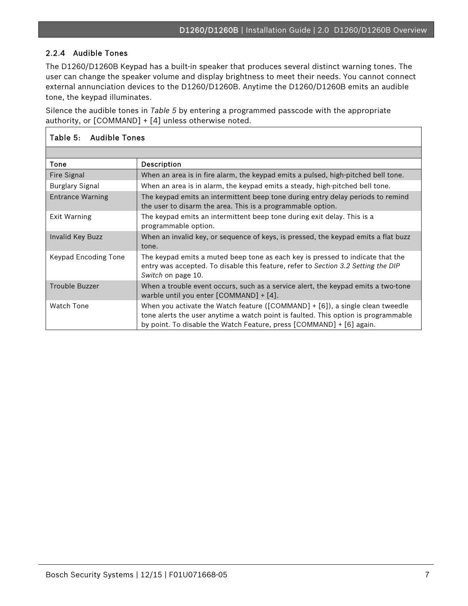#### 2.2.4 Audible Tones

.

The D1260/D1260B Keypad has a built-in speaker that produces several distinct warning tones. The user can change the speaker volume and display brightness to meet their needs. You cannot connect external annunciation devices to the D1260/D1260B. Anytime the D1260/D1260B emits an audible tone, the keypad illuminates.

Silence the audible tones in *Table 5* by entering a programmed passcode with the appropriate authority, or [COMMAND] + [4] unless otherwise noted.

| Table 5: Audible Tones  |                                                                                                                                                                                                                                                 |
|-------------------------|-------------------------------------------------------------------------------------------------------------------------------------------------------------------------------------------------------------------------------------------------|
|                         |                                                                                                                                                                                                                                                 |
| Tone                    | Description                                                                                                                                                                                                                                     |
| Fire Signal             | When an area is in fire alarm, the keypad emits a pulsed, high-pitched bell tone.                                                                                                                                                               |
| <b>Burglary Signal</b>  | When an area is in alarm, the keypad emits a steady, high-pitched bell tone.                                                                                                                                                                    |
| <b>Entrance Warning</b> | The keypad emits an intermittent beep tone during entry delay periods to remind<br>the user to disarm the area. This is a programmable option.                                                                                                  |
| Exit Warning            | The keypad emits an intermittent beep tone during exit delay. This is a<br>programmable option.                                                                                                                                                 |
| Invalid Key Buzz        | When an invalid key, or sequence of keys, is pressed, the keypad emits a flat buzz<br>tone.                                                                                                                                                     |
| Keypad Encoding Tone    | The keypad emits a muted beep tone as each key is pressed to indicate that the<br>entry was accepted. To disable this feature, refer to Section 3.2 Setting the DIP<br>Switch on page 10.                                                       |
| <b>Trouble Buzzer</b>   | When a trouble event occurs, such as a service alert, the keypad emits a two-tone<br>warble until you enter $[COMMAND] + [4]$ .                                                                                                                 |
| <b>Watch Tone</b>       | When you activate the Watch feature ( $[COMMAND] + [6]$ ), a single clean tweedle<br>tone alerts the user anytime a watch point is faulted. This option is programmable<br>by point. To disable the Watch Feature, press [COMMAND] + [6] again. |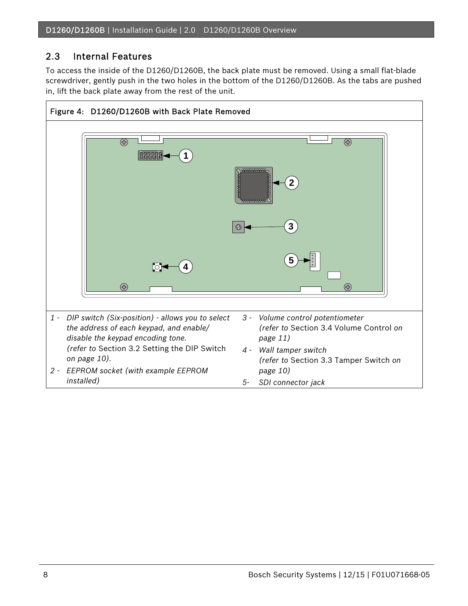## 2.3 Internal Features

To access the inside of the D1260/D1260B, the back plate must be removed. Using a small flat-blade screwdriver, gently push in the two holes in the bottom of the D1260/D1260B. As the tabs are pushed in, lift the back plate away from the rest of the unit.

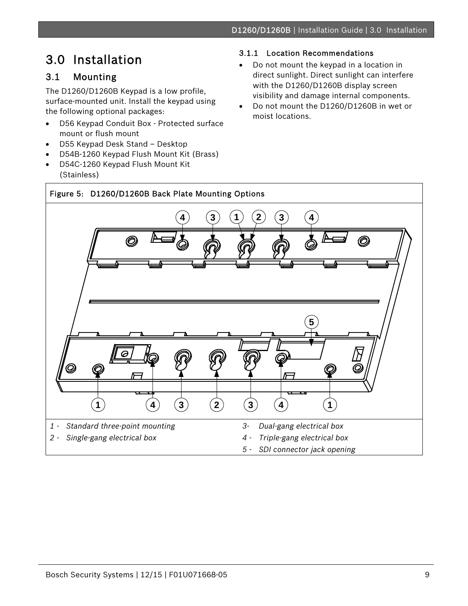# 3.0 Installation

# 3.1 Mounting

.

The D1260/D1260B Keypad is a low profile, surface-mounted unit. Install the keypad using the following optional packages:

- D56 Keypad Conduit Box Protected surface mount or flush mount
- D55 Keypad Desk Stand Desktop
- D54B-1260 Keypad Flush Mount Kit (Brass)
- D54C-1260 Keypad Flush Mount Kit (Stainless)

### 3.1.1 Location Recommendations

- Do not mount the keypad in a location in direct sunlight. Direct sunlight can interfere with the D1260/D1260B display screen visibility and damage internal components.
- Do not mount the D1260/D1260B in wet or moist locations.

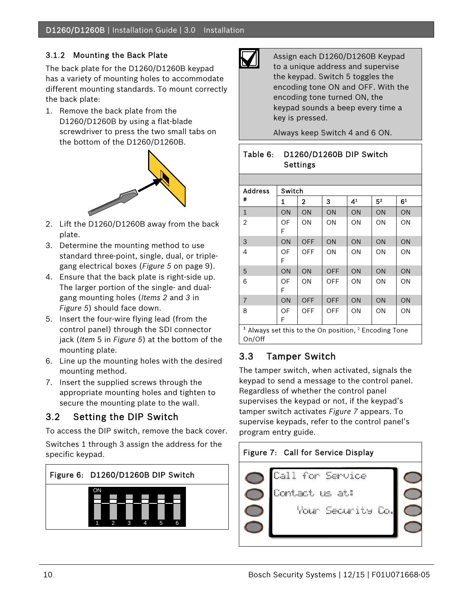### 3.1.2 Mounting the Back Plate

The back plate for the D1260/D1260B keypad has a variety of mounting holes to accommodate different mounting standards. To mount correctly the back plate:

1. Remove the back plate from the D1260/D1260B by using a flat-blade screwdriver to press the two small tabs on the bottom of the D1260/D1260B.



- 2. Lift the D1260/D1260B away from the back plate.
- 3. Determine the mounting method to use standard three-point, single, dual, or triplegang electrical boxes (*Figure 5* on page 9).
- 4. Ensure that the back plate is right-side up. The larger portion of the single- and dualgang mounting holes (*Items 2* and *3* in *Figure 5*) should face down.
- 5. Insert the four-wire flying lead (from the control panel) through the SDI connector jack (*Item* 5 in *Figure 5*) at the bottom of the mounting plate.
- 6. Line up the mounting holes with the desired mounting method.
- 7. Insert the supplied screws through the appropriate mounting holes and tighten to secure the mounting plate to the wall.

## 3.2 Setting the DIP Switch

To access the DIP switch, remove the back cover. Switches 1 through 3 assign the address for the specific keypad.





Assign each D1260/D1260B Keypad to a unique address and supervise the keypad. Switch 5 toggles the encoding tone ON and OFF. With the encoding tone turned ON, the keypad sounds a beep every time a key is pressed.

Always keep Switch 4 and 6 ON.

### Table 6: D1260/D1260B DIP Switch **Settings**

| <b>Address</b>                                                      | Switch  |                |            |    |                |                |
|---------------------------------------------------------------------|---------|----------------|------------|----|----------------|----------------|
| #                                                                   | 1       | $\overline{2}$ | 3          | 41 | 5 <sup>2</sup> | 6 <sup>1</sup> |
| $\mathbf{1}$                                                        | ON      | ON             | ON         | ON | ON             | ON             |
| $\overline{2}$                                                      | OF<br>F | ON             | ΟN         | ON | ON             | ON             |
| 3                                                                   | ON      | <b>OFF</b>     | ON         | ON | ON             | ON             |
| 4                                                                   | OF<br>F | OFF            | ON         | ON | ON             | ON             |
| 5                                                                   | ON      | <b>ON</b>      | <b>OFF</b> | ON | ON             | ON             |
| 6                                                                   | OF<br>F | ON             | OFF        | ON | ON             | ON             |
| $\overline{7}$                                                      | ON      | <b>OFF</b>     | <b>OFF</b> | ON | ON             | ON             |
| 8                                                                   | OF<br>F | OFF            | OFF        | ON | ON             | ON             |
| $1$ Always set this to the On position, $2$ Encoding Tone<br>On/Off |         |                |            |    |                |                |

## 3.3 Tamper Switch

The tamper switch, when activated, signals the keypad to send a message to the control panel. Regardless of whether the control panel supervises the keypad or not, if the keypad's tamper switch activates *Figure 7* appears. To supervise keypads, refer to the control panel's program entry guide.

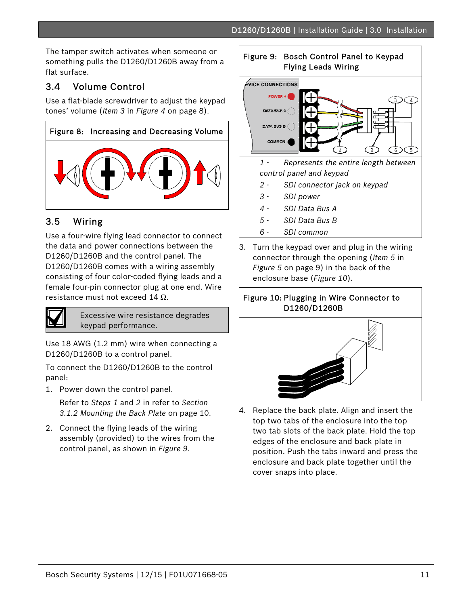The tamper switch activates when someone or something pulls the D1260/D1260B away from a flat surface.

# 3.4 Volume Control

.

Use a flat-blade screwdriver to adjust the keypad tones' volume (*Item 3* in *Figure 4* on page 8).



## 3.5 Wiring

Use a four-wire flying lead connector to connect the data and power connections between the D1260/D1260B and the control panel. The D1260/D1260B comes with a wiring assembly consisting of four color-coded flying leads and a female four-pin connector plug at one end. Wire resistance must not exceed 14  $Ω$ .



Excessive wire resistance degrades keypad performance.

Use 18 AWG (1.2 mm) wire when connecting a D1260/D1260B to a control panel.

To connect the D1260/D1260B to the control panel:

1. Power down the control panel.

Refer to *Steps 1* and *2* in refer to *Section 3.1.2 Mounting the Back Plate* on page 10.

2. Connect the flying leads of the wiring assembly (provided) to the wires from the control panel, as shown in *Figure 9*.

# Figure 9: Bosch Control Panel to Keypad Flying Leads Wiring **EVICE CONNECTIONS POWER DATA BUS A** DATA BUS B COMMON *1 - Represents the entire length between control panel and keypad 2 - SDI connector jack on keypad 3 - SDI power 4 - SDI Data Bus A 5 - SDI Data Bus B 6 - SDI common*

3. Turn the keypad over and plug in the wiring connector through the opening (*Item 5* in *Figure 5* on page 9) in the back of the enclosure base (*Figure 10*).





4. Replace the back plate. Align and insert the top two tabs of the enclosure into the top two tab slots of the back plate. Hold the top edges of the enclosure and back plate in position. Push the tabs inward and press the enclosure and back plate together until the cover snaps into place.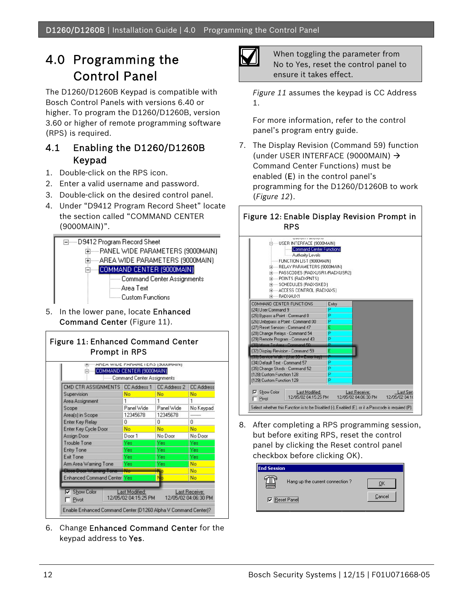# 4.0 Programming the Control Panel

The D1260/D1260B Keypad is compatible with Bosch Control Panels with versions 6.40 or higher. To program the D1260/D1260B, version 3.60 or higher of remote programming software (RPS) is required.

### 4.1 Enabling the D1260/D1260B Keypad

- 1. Double-click on the RPS icon.
- 2. Enter a valid username and password.
- 3. Double-click on the desired control panel.
- 4. Under "D9412 Program Record Sheet" locate the section called "COMMAND CENTER (9000MAIN)".



5. In the lower pane, locate Enhanced Command Center (Figure 11).



|                                    | CMD CTR ASSIGNMENTS CC Address 1 | <b>CC Address 2</b> | <b>CC Address</b> |
|------------------------------------|----------------------------------|---------------------|-------------------|
| Supervision                        | No                               | No                  | No                |
| Area Assignment                    |                                  | 1                   | 1                 |
| Scope                              | Panel Wide                       | Panel Wide          | No Keypad         |
| Area[s] in Scope                   | 12345678                         | 12345678            |                   |
| Enter Key Relay                    | 0                                | o                   | o                 |
| Enter Key Cycle Door               | No                               | No                  | No                |
| Assign Door                        | Door 1                           | No Door             | No Door           |
| Trouble Tone                       | Yes                              | Yes                 | Yes               |
| Entry Tone                         | Yes                              | Yes                 | Yes               |
| Exit Tone                          | Yes                              | Yes                 | Yes               |
| Arm Area Warning Tone              | Yes                              | Yes                 | No                |
| Close Door Warning Tone            | <b>Alle</b>                      | 4lo                 | No                |
| <b>Enhanced Command Center Yes</b> |                                  | No                  | No                |

6. Change Enhanced Command Center for the keypad address to Yes.



When toggling the parameter from No to Yes, reset the control panel to ensure it takes effect.

*Figure 11* assumes the keypad is CC Address 1.

For more information, refer to the control panel's program entry guide.

7. The Display Revision (Command 59) function (under USER INTERFACE (9000MAIN) Command Center Functions) must be enabled (E) in the control panel's programming for the D1260/D1260B to work (*Figure 12*).

#### Figure 12: Enable Display Revision Prompt in RPS

| <b>Authority Levels</b><br>FUNCTION LIST (9000MAIN)<br>FI-RELAY PARAMETERS (9000MAIN)<br>E-PASSCODES (RADXUSR1/RADXUSR2)<br>FI-POINTS (RADXPNTS) |       |                                       |                            |
|--------------------------------------------------------------------------------------------------------------------------------------------------|-------|---------------------------------------|----------------------------|
| EI-SCHEDULES (RADXSKED)<br>FI-ACCESS CONTROL (RADXAXS)<br>F BADXALIX1                                                                            |       |                                       |                            |
| COMMAND CENTER FUNCTIONS                                                                                                                         | Entry |                                       |                            |
| (24) User Command 9                                                                                                                              | P     |                                       |                            |
| (25) Bypass a Point - Command 0                                                                                                                  | P     |                                       |                            |
| (26) Unbypass a Point - Command 00                                                                                                               | P     |                                       |                            |
| (27) Reset Sensors - Command 47                                                                                                                  | E     |                                       |                            |
| [28] Change Relays - Command 54                                                                                                                  | P     |                                       |                            |
| [29] Remote Program - Command 43                                                                                                                 | P     |                                       |                            |
| (30) Move To Area - Command 50                                                                                                                   | Þ     |                                       |                            |
| (32) Display Revision - Command 59                                                                                                               | E     |                                       |                            |
| (33) Service Walk - (Use 99 + Enter key)                                                                                                         |       |                                       |                            |
| (34) Default Text - Command 57                                                                                                                   | P     |                                       |                            |
| (35) Change Skeds - Command 52                                                                                                                   | P     |                                       |                            |
| (128) Custom Function 128                                                                                                                        | P     |                                       |                            |
| (129) Custom Function 129                                                                                                                        | P     |                                       |                            |
| <b>V</b> Show Color<br>Last Modified:<br>12/05/02 04:15:25 PM<br>$\Gamma$ Pivot                                                                  |       | Last Receive:<br>12/05/02 04:06:30 PM | Last Sen<br>12/05/02 04:18 |

8. After completing a RPS programming session, but before exiting RPS, reset the control panel by clicking the Reset control panel checkbox before clicking OK).

| <b>End Session</b> |                                  |        |  |
|--------------------|----------------------------------|--------|--|
| ₩                  | Hang up the current connection ? |        |  |
|                    | <br><b>▽</b> Reset Panel         | Cancel |  |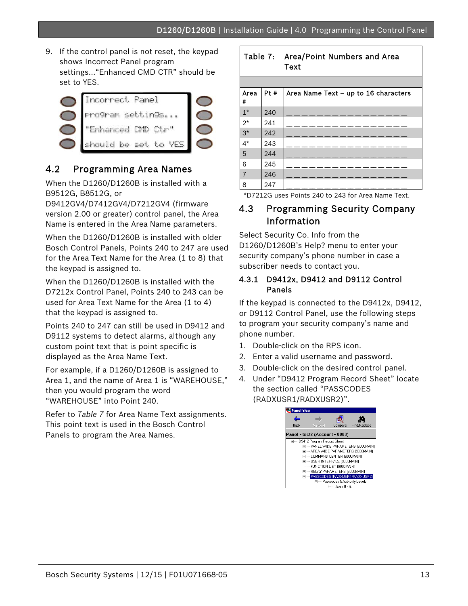9. If the control panel is not reset, the keypad shows Incorrect Panel program settings…"Enhanced CMD CTR" should be set to YES.

.



## 4.2 Programming Area Names

When the D1260/D1260B is installed with a B9512G, B8512G, or

D9412GV4/D7412GV4/D7212GV4 (firmware version 2.00 or greater) control panel, the Area Name is entered in the Area Name parameters.

When the D1260/D1260B is installed with older Bosch Control Panels, Points 240 to 247 are used for the Area Text Name for the Area (1 to 8) that the keypad is assigned to.

When the D1260/D1260B is installed with the D7212x Control Panel, Points 240 to 243 can be used for Area Text Name for the Area (1 to 4) that the keypad is assigned to.

Points 240 to 247 can still be used in D9412 and D9112 systems to detect alarms, although any custom point text that is point specific is displayed as the Area Name Text.

For example, if a D1260/D1260B is assigned to Area 1, and the name of Area 1 is "WAREHOUSE," then you would program the word "WAREHOUSE" into Point 240.

Refer to *Table 7* for Area Name Text assignments. This point text is used in the Bosch Control Panels to program the Area Names.

#### Table 7: Area/Point Numbers and Area **Text**

| Area<br># | Pt # | Area Name Text - up to 16 characters |
|-----------|------|--------------------------------------|
| $1*$      | 240  |                                      |
| $2*$      | 241  |                                      |
| $3*$      | 242  |                                      |
| $4^*$     | 243  |                                      |
| 5         | 244  |                                      |
| 6         | 245  |                                      |
| 7         | 246  |                                      |
| 8         | 247  |                                      |

\*D7212G uses Points 240 to 243 for Area Name Text.

## 4.3 Programming Security Company Information

Select Security Co. Info from the D1260/D1260B's Help? menu to enter your security company's phone number in case a subscriber needs to contact you.

#### 4.3.1 D9412x, D9412 and D9112 Control Panels

If the keypad is connected to the D9412x, D9412, or D9112 Control Panel, use the following steps to program your security company's name and phone number.

- 1. Double-click on the RPS icon.
- 2. Enter a valid username and password.
- 3. Double-click on the desired control panel.
- 4. Under "D9412 Program Record Sheet" locate the section called "PASSCODES (RADXUSR1/RADXUSR2)".

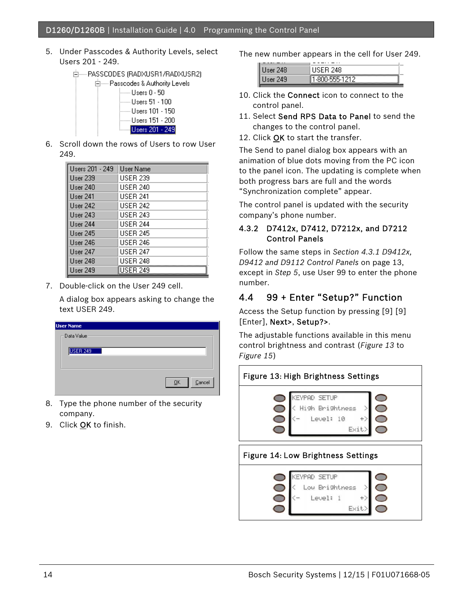5. Under Passcodes & Authority Levels, select Users 201 - 249.



| ⊟······ Passcodes & Authority Le |
|----------------------------------|
| ¦------ Users 0 - 50             |
| ⊱----- Users 51 - 100            |
| i------ Users 101 - 150          |
| ⊱—— Users 151 - 200              |
| Users 201 - 249                  |

6. Scroll down the rows of Users to row User 249.

| Users 201 - 249     | User Name                                        |
|---------------------|--------------------------------------------------|
| User <sub>239</sub> | USER 239                                         |
| User 240            | USER 240                                         |
| User 241            | USER 241                                         |
| User 242            | <b>USER 242</b>                                  |
| User 243            | LISER 243                                        |
| User 244            | <b>USER 244</b>                                  |
| User 245            | <b>USER 245</b>                                  |
| User 246            | <b>USER 246</b>                                  |
| User 247            | <b>USER 247</b>                                  |
| <b>User 248</b>     | USER 248                                         |
| User 249            | <b>USER 249</b><br>,,,,,,,,,,,,,,,,,,,,,,,,,,,,, |

7. Double-click on the User 249 cell.

A dialog box appears asking to change the text USER 249.

| <b>User Name</b>                                  |
|---------------------------------------------------|
| - Data Value                                      |
|                                                   |
| USER 249                                          |
|                                                   |
|                                                   |
|                                                   |
| $\ensuremath{\underline{\mathbb{C}}}$ ancel<br>QK |
|                                                   |

- 8. Type the phone number of the security company.
- 9. Click OK to finish.

The new number appears in the cell for User 249.

| . . | -------<br>- |
|-----|--------------|
|     |              |
|     | -            |

- 10. Click the Connect icon to connect to the control panel.
- 11. Select Send RPS Data to Panel to send the changes to the control panel.
- 12. Click OK to start the transfer.

The Send to panel dialog box appears with an animation of blue dots moving from the PC icon to the panel icon. The updating is complete when both progress bars are full and the words "Synchronization complete" appear.

The control panel is updated with the security company's phone number.

#### 4.3.2 D7412x, D7412, D7212x, and D7212 Control Panels

Follow the same steps in *Section 4.3.1 D9412x, D9412 and D9112 Control Panels* on page 13, except in *Step 5*, use User 99 to enter the phone number.

## 4.4 99 + Enter "Setup?" Function

Access the Setup function by pressing [9] [9] [Enter], Next>, Setup?>.

The adjustable functions available in this menu control brightness and contrast (*Figure 13* to *Figure 15*)

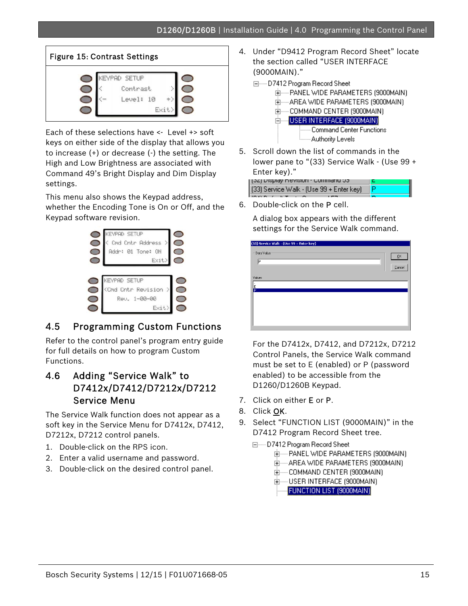

Each of these selections have <- Level +> soft keys on either side of the display that allows you to increase (+) or decrease (-) the setting. The High and Low Brightness are associated with Command 49's Bright Display and Dim Display settings.

This menu also shows the Keypad address, whether the Encoding Tone is On or Off, and the Keypad software revision.



## 4.5 Programming Custom Functions

Refer to the control panel's program entry guide for full details on how to program Custom Functions.

## 4.6 Adding "Service Walk" to D7412x/D7412/D7212x/D7212 Service Menu

The Service Walk function does not appear as a soft key in the Service Menu for D7412x, D7412, D7212x, D7212 control panels.

- 1. Double-click on the RPS icon.
- 2. Enter a valid username and password.
- 3. Double-click on the desired control panel.
- 4. Under "D9412 Program Record Sheet" locate the section called "USER INTERFACE (9000MAIN)."
	- □----- D7412 Program Record Sheet
		- 由----- PANEL WIDE PARAMETERS (9000MAIN)
		- 由----- AREA WIDE PARAMETERS (9000MAIN)
		- 由----- COMMAND CENTER (9000MAIN)
		- E USER INTERFACE (9000MAIN) **Command Center Functions** Authority Levels
- 5. Scroll down the list of commands in the lower pane to "(33) Service Walk - (Use 99 + Enter key)."

fot) nishiga ulawanci - muuniquri na (33) Service Walk - (Use 99 + Enter key)

6. Double-click on the P cell.

A dialog box appears with the different settings for the Service Walk command.

| (33) Service Walk - (Use 99 + Enter key) |                                                                                   |  |
|------------------------------------------|-----------------------------------------------------------------------------------|--|
| Data Value<br>IÞ                         | $\underline{\mathsf{Q}}\mathsf{K}$<br>$\ensuremath{\underline{\mathbb{C}}}$ ancel |  |
| Values<br>le<br>P                        |                                                                                   |  |
|                                          |                                                                                   |  |
|                                          |                                                                                   |  |

For the D7412x, D7412, and D7212x, D7212 Control Panels, the Service Walk command must be set to E (enabled) or P (password enabled) to be accessible from the D1260/D1260B Keypad.

- 7. Click on either E or P.
- 8. Click OK.
- 9. Select "FUNCTION LIST (9000MAIN)" in the D7412 Program Record Sheet tree.
	- 日 …… D7412 Program Record Sheet
		- 亩----- PANEL WIDE PARAMETERS (9000MAIN).
		- 亩-----AREA WIDE PARAMETERS (9000MAIN).
		- 亩----- COMMAND CENTER (9000MAIN).
		- 亩······· USER INTERFACE (9000MAIN) -
		- FUNCTION LIST (9000MAIN)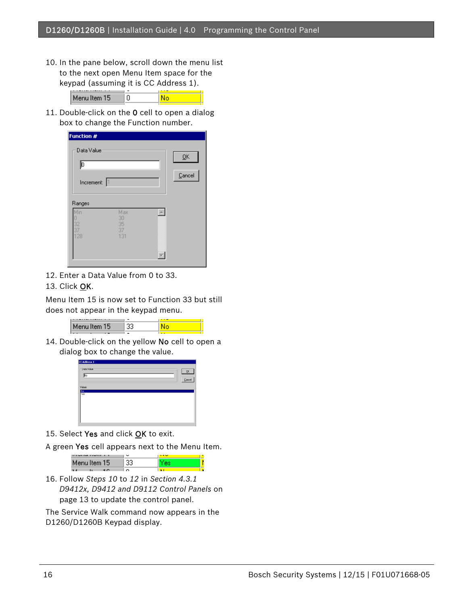10. In the pane below, scroll down the menu list to the next open Menu Item space for the keypad (assuming it is CC Address 1).

| Menu Item 15 |  |
|--------------|--|

11. Double-click on the 0 cell to open a dialog box to change the Function number.

| Function #<br>Data Value<br>Þ<br>Increment: | l1                           | $\underline{\mathsf{Q}}\mathsf{K}$<br>$\ensuremath{\underline{\mathbb{C}}}$ ancel |
|---------------------------------------------|------------------------------|-----------------------------------------------------------------------------------|
| Ranges<br>Min<br>32<br>128                  | Max<br>30<br>35<br>37<br>131 |                                                                                   |

12. Enter a Data Value from 0 to 33.

#### 13. Click OK.

Menu Item 15 is now set to Function 33 but still does not appear in the keypad menu.



14. Double-click on the yellow No cell to open a dialog box to change the value.



- 15. Select Yes and click OK to exit.
- A green Yes cell appears next to the Menu Item.

| in vita ta 1991 ti<br>. . | c | <b>Contract</b> |  |
|---------------------------|---|-----------------|--|
| Menu Item 15.             |   |                 |  |
|                           |   |                 |  |

16. Follow *Steps 10* to *12* in *Section 4.3.1 D9412x, D9412 and D9112 Control Panels* on page 13 to update the control panel.

The Service Walk command now appears in the D1260/D1260B Keypad display.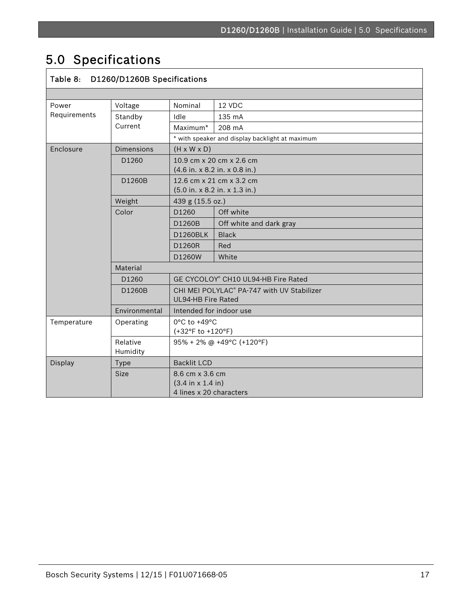# 5.0 Specifications

.

| Table 8: D1260/D1260B Specifications |                      |                                                                         |                                                 |  |
|--------------------------------------|----------------------|-------------------------------------------------------------------------|-------------------------------------------------|--|
|                                      |                      |                                                                         |                                                 |  |
| Power<br>Requirements                | Voltage              | Nominal                                                                 | 12 VDC                                          |  |
|                                      | Standby              | Idle                                                                    | 135 mA                                          |  |
|                                      | Current              | Maximum*                                                                | 208 mA                                          |  |
|                                      |                      |                                                                         | * with speaker and display backlight at maximum |  |
| Enclosure                            | Dimensions           | $(H \times W \times D)$                                                 |                                                 |  |
|                                      | D1260                | 10.9 cm x 20 cm x 2.6 cm<br>$(4.6$ in. x 8.2 in. x 0.8 in.)             |                                                 |  |
|                                      | D1260B               | 12.6 cm x 21 cm x 3.2 cm<br>(5.0 in. x 8.2 in. x 1.3 in.)               |                                                 |  |
|                                      | Weight               | 439 g (15.5 oz.)                                                        |                                                 |  |
|                                      | Color                | D1260                                                                   | Off white                                       |  |
|                                      |                      | D1260B                                                                  | Off white and dark gray                         |  |
|                                      |                      | <b>D1260BLK</b>                                                         | <b>Black</b>                                    |  |
|                                      |                      | D1260R                                                                  | Red                                             |  |
|                                      |                      | D1260W                                                                  | White                                           |  |
|                                      | Material             |                                                                         |                                                 |  |
|                                      | D1260                | GE CYCOLOY® CH10 UL94-HB Fire Rated                                     |                                                 |  |
|                                      | D1260B               | CHI MEI POLYLAC® PA-747 with UV Stabilizer<br><b>UL94-HB Fire Rated</b> |                                                 |  |
|                                      | Environmental        | Intended for indoor use                                                 |                                                 |  |
| Temperature                          | Operating            | 0°C to +49°C<br>(+32°F to +120°F)                                       |                                                 |  |
|                                      | Relative<br>Humidity | 95% + 2% @ +49°C (+120°F)                                               |                                                 |  |
| <b>Display</b>                       | <b>Type</b>          | <b>Backlit LCD</b>                                                      |                                                 |  |
|                                      | <b>Size</b>          | 8.6 cm x 3.6 cm<br>(3.4 in x 1.4 in)<br>4 lines x 20 characters         |                                                 |  |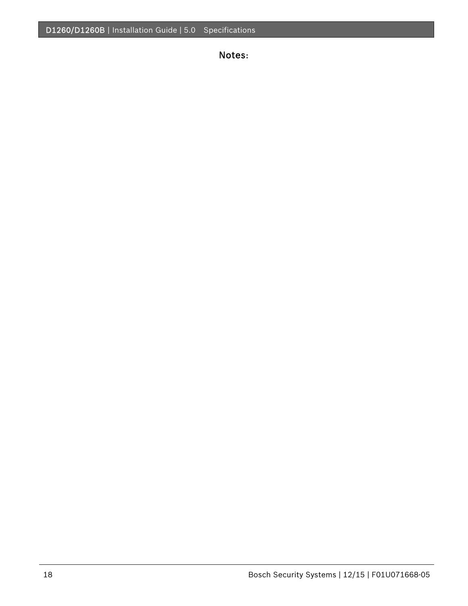Notes: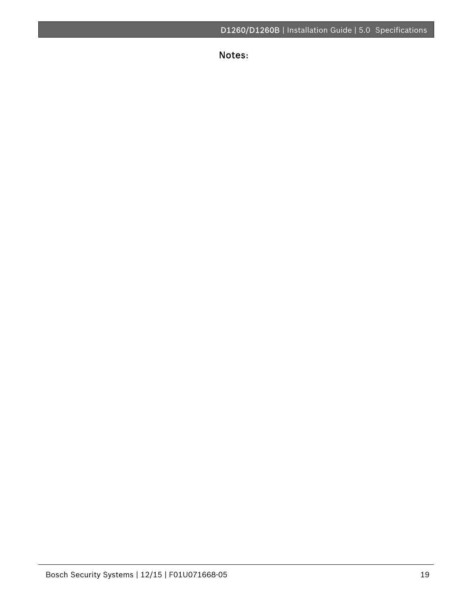Notes:

.